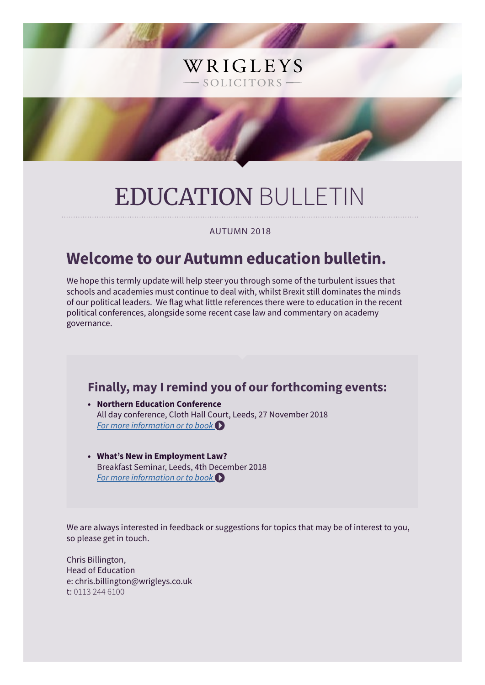# EDUCATION BULLETIN

WRIGLEYS

- SOLICITORS -

AUTUMN 2018

# **Welcome to our Autumn education bulletin.**

We hope this termly update will help steer you through some of the turbulent issues that schools and academies must continue to deal with, whilst Brexit still dominates the minds of our political leaders. We flag what little references there were to education in the recent political conferences, alongside some recent case law and commentary on academy governance.

### **Finally, may I remind you of our forthcoming events:**

- **• Northern Education Conference** All day conference, Cloth Hall Court, Leeds, 27 November 2018 *[For more information or to book](https://www.wrigleys.co.uk/events/detail/northern-education-conference---27th-november-2018/)*
- **• What's New in Employment Law?** Breakfast Seminar, Leeds, 4th December 2018 *[For more information or to book](https://www.wrigleys.co.uk/events/detail/employment-breakfast-briefing---4-december-2018/)*

We are always interested in feedback or suggestions for topics that may be of interest to you, so please get in touch.

Chris Billington, Head of Education e: chris.billington@wrigleys.co.uk t: 0113 244 6100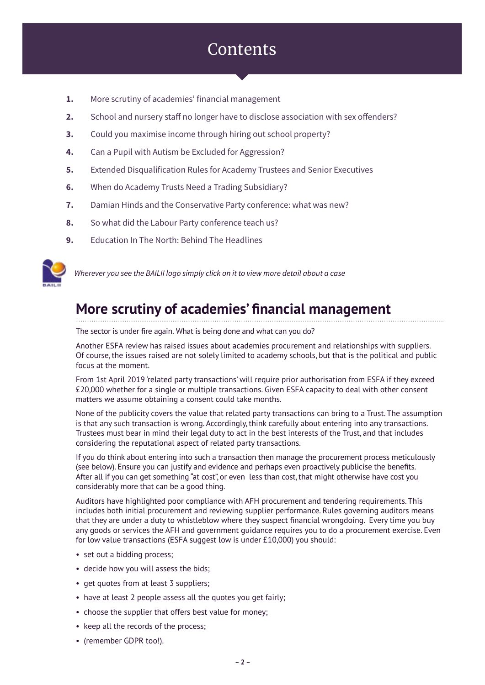# **Contents**

- **1.** More scrutiny of academies' financial management
- **2.** School and nursery staff no longer have to disclose association with sex offenders?
- **3.** Could you maximise income through hiring out school property?
- **4.** Can a Pupil with Autism be Excluded for Aggression?
- **5.** Extended Disqualification Rules for Academy Trustees and Senior Executives
- **6.** When do Academy Trusts Need a Trading Subsidiary?
- **7.** Damian Hinds and the Conservative Party conference: what was new?
- **8.** So what did the Labour Party conference teach us?
- **9.** Education In The North: Behind The Headlines



*Wherever you see the BAILII logo simply click on it to view more detail about a case*

## **More scrutiny of academies' financial management**

The sector is under fire again. What is being done and what can you do?

Another ESFA review has raised issues about academies procurement and relationships with suppliers. Of course, the issues raised are not solely limited to academy schools, but that is the political and public focus at the moment.

From 1st April 2019 'related party transactions' will require prior authorisation from ESFA if they exceed £20,000 whether for a single or multiple transactions. Given ESFA capacity to deal with other consent matters we assume obtaining a consent could take months.

None of the publicity covers the value that related party transactions can bring to a Trust. The assumption is that any such transaction is wrong. Accordingly, think carefully about entering into any transactions. Trustees must bear in mind their legal duty to act in the best interests of the Trust, and that includes considering the reputational aspect of related party transactions.

If you do think about entering into such a transaction then manage the procurement process meticulously (see below). Ensure you can justify and evidence and perhaps even proactively publicise the benefits. After all if you can get something "at cost", or even less than cost, that might otherwise have cost you considerably more that can be a good thing.

Auditors have highlighted poor compliance with AFH procurement and tendering requirements. This includes both initial procurement and reviewing supplier performance. Rules governing auditors means that they are under a duty to whistleblow where they suspect financial wrongdoing. Every time you buy any goods or services the AFH and government guidance requires you to do a procurement exercise. Even for low value transactions (ESFA suggest low is under £10,000) you should:

- set out a bidding process;
- decide how you will assess the bids;
- get quotes from at least 3 suppliers;
- have at least 2 people assess all the quotes you get fairly;
- choose the supplier that offers best value for money;
- keep all the records of the process;
- (remember GDPR too!).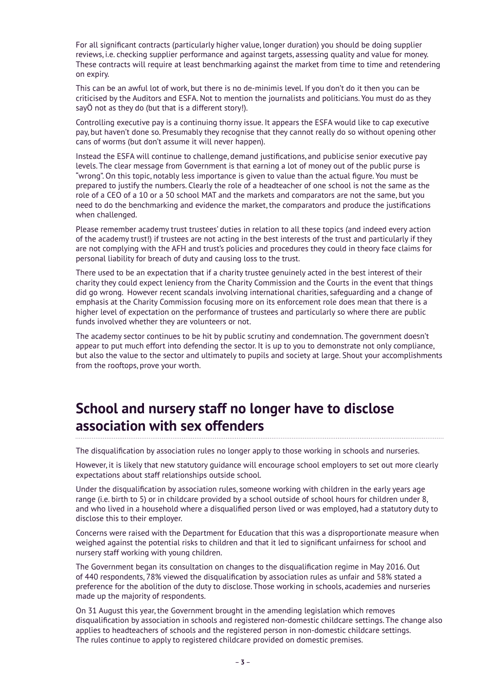For all significant contracts (particularly higher value, longer duration) you should be doing supplier reviews, i.e. checking supplier performance and against targets, assessing quality and value for money. These contracts will require at least benchmarking against the market from time to time and retendering on expiry.

This can be an awful lot of work, but there is no de-minimis level. If you don't do it then you can be criticised by the Auditors and ESFA. Not to mention the journalists and politicians. You must do as they sayÖ not as they do (but that is a different story!).

Controlling executive pay is a continuing thorny issue. It appears the ESFA would like to cap executive pay, but haven't done so. Presumably they recognise that they cannot really do so without opening other cans of worms (but don't assume it will never happen).

Instead the ESFA will continue to challenge, demand justifications, and publicise senior executive pay levels. The clear message from Government is that earning a lot of money out of the public purse is "wrong". On this topic, notably less importance is given to value than the actual figure. You must be prepared to justify the numbers. Clearly the role of a headteacher of one school is not the same as the role of a CEO of a 10 or a 50 school MAT and the markets and comparators are not the same, but you need to do the benchmarking and evidence the market, the comparators and produce the justifications when challenged.

Please remember academy trust trustees' duties in relation to all these topics (and indeed every action of the academy trust!) if trustees are not acting in the best interests of the trust and particularly if they are not complying with the AFH and trust's policies and procedures they could in theory face claims for personal liability for breach of duty and causing loss to the trust.

There used to be an expectation that if a charity trustee genuinely acted in the best interest of their charity they could expect leniency from the Charity Commission and the Courts in the event that things did go wrong. However recent scandals involving international charities, safeguarding and a change of emphasis at the Charity Commission focusing more on its enforcement role does mean that there is a higher level of expectation on the performance of trustees and particularly so where there are public funds involved whether they are volunteers or not.

The academy sector continues to be hit by public scrutiny and condemnation. The government doesn't appear to put much effort into defending the sector. It is up to you to demonstrate not only compliance, but also the value to the sector and ultimately to pupils and society at large. Shout your accomplishments from the rooftops, prove your worth.

# **School and nursery staff no longer have to disclose association with sex offenders**

The disqualification by association rules no longer apply to those working in schools and nurseries.

However, it is likely that new statutory guidance will encourage school employers to set out more clearly expectations about staff relationships outside school.

Under the disqualification by association rules, someone working with children in the early years age range (i.e. birth to 5) or in childcare provided by a school outside of school hours for children under 8, and who lived in a household where a disqualified person lived or was employed, had a statutory duty to disclose this to their employer.

Concerns were raised with the Department for Education that this was a disproportionate measure when weighed against the potential risks to children and that it led to significant unfairness for school and nursery staff working with young children.

The Government began its consultation on changes to the disqualification regime in May 2016. Out of 440 respondents, 78% viewed the disqualification by association rules as unfair and 58% stated a preference for the abolition of the duty to disclose. Those working in schools, academies and nurseries made up the majority of respondents.

On 31 August this year, the Government brought in the amending legislation which removes disqualification by association in schools and registered non-domestic childcare settings. The change also applies to headteachers of schools and the registered person in non-domestic childcare settings. The rules continue to apply to registered childcare provided on domestic premises.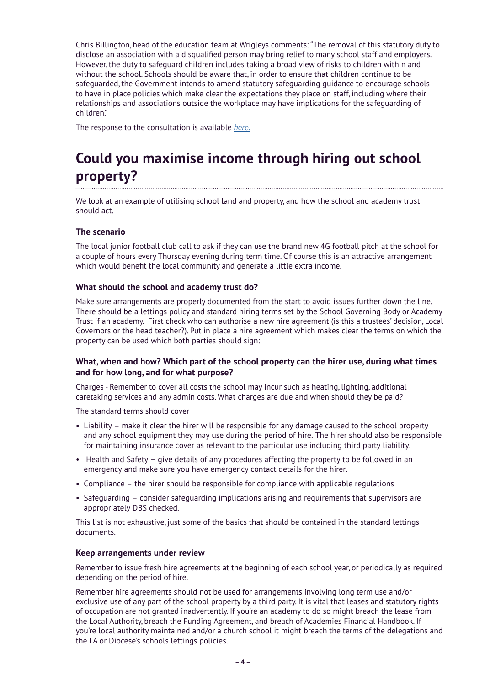Chris Billington, head of the education team at Wrigleys comments: "The removal of this statutory duty to disclose an association with a disqualified person may bring relief to many school staff and employers. However, the duty to safeguard children includes taking a broad view of risks to children within and without the school. Schools should be aware that, in order to ensure that children continue to be safeguarded, the Government intends to amend statutory safeguarding guidance to encourage schools to have in place policies which make clear the expectations they place on staff, including where their relationships and associations outside the workplace may have implications for the safeguarding of children."

The response to the consultation is available *[here.](https://assets.publishing.service.gov.uk/government/uploads/system/uploads/attachment_data/file/718641/Childcare_disqualification_consultation_report.pdf)*

# **Could you maximise income through hiring out school property?**

We look at an example of utilising school land and property, and how the school and academy trust should act.

#### **The scenario**

The local junior football club call to ask if they can use the brand new 4G football pitch at the school for a couple of hours every Thursday evening during term time. Of course this is an attractive arrangement which would benefit the local community and generate a little extra income.

#### **What should the school and academy trust do?**

Make sure arrangements are properly documented from the start to avoid issues further down the line. There should be a lettings policy and standard hiring terms set by the School Governing Body or Academy Trust if an academy. First check who can authorise a new hire agreement (is this a trustees' decision, Local Governors or the head teacher?). Put in place a hire agreement which makes clear the terms on which the property can be used which both parties should sign:

#### **What, when and how? Which part of the school property can the hirer use, during what times and for how long, and for what purpose?**

Charges - Remember to cover all costs the school may incur such as heating, lighting, additional caretaking services and any admin costs. What charges are due and when should they be paid?

The standard terms should cover

- Liability make it clear the hirer will be responsible for any damage caused to the school property and any school equipment they may use during the period of hire. The hirer should also be responsible for maintaining insurance cover as relevant to the particular use including third party liability.
- Health and Safety give details of any procedures affecting the property to be followed in an emergency and make sure you have emergency contact details for the hirer.
- Compliance the hirer should be responsible for compliance with applicable regulations
- Safeguarding consider safeguarding implications arising and requirements that supervisors are appropriately DBS checked.

This list is not exhaustive, just some of the basics that should be contained in the standard lettings documents.

#### **Keep arrangements under review**

Remember to issue fresh hire agreements at the beginning of each school year, or periodically as required depending on the period of hire.

Remember hire agreements should not be used for arrangements involving long term use and/or exclusive use of any part of the school property by a third party. It is vital that leases and statutory rights of occupation are not granted inadvertently. If you're an academy to do so might breach the lease from the Local Authority, breach the Funding Agreement, and breach of Academies Financial Handbook. If you're local authority maintained and/or a church school it might breach the terms of the delegations and the LA or Diocese's schools lettings policies.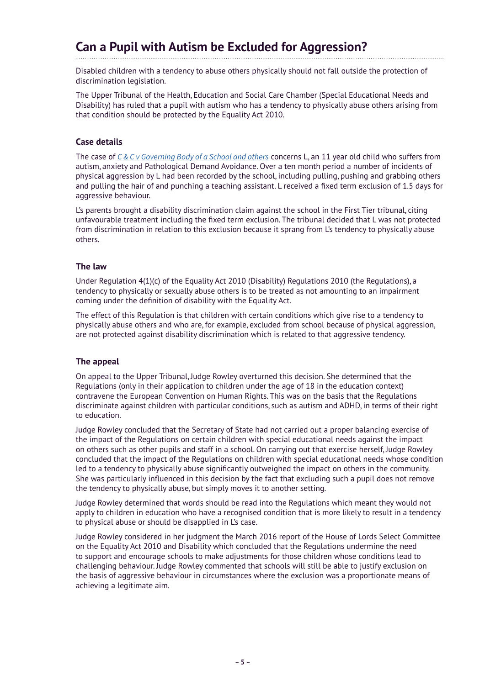### **Can a Pupil with Autism be Excluded for Aggression?**

Disabled children with a tendency to abuse others physically should not fall outside the protection of discrimination legislation.

The Upper Tribunal of the Health, Education and Social Care Chamber (Special Educational Needs and Disability) has ruled that a pupil with autism who has a tendency to physically abuse others arising from that condition should be protected by the Equality Act 2010.

#### **Case details**

The case of *[C & C v Governing Body of a School and others](http://1exagu1grkmq3k572418odoooym-wpengine.netdna-ssl.com/wp-content/uploads/2018/08/Upper-Tribunal-decision.pdf)* concerns L, an 11 year old child who suffers from autism, anxiety and Pathological Demand Avoidance. Over a ten month period a number of incidents of physical aggression by L had been recorded by the school, including pulling, pushing and grabbing others and pulling the hair of and punching a teaching assistant. L received a fixed term exclusion of 1.5 days for aggressive behaviour.

L's parents brought a disability discrimination claim against the school in the First Tier tribunal, citing unfavourable treatment including the fixed term exclusion. The tribunal decided that L was not protected from discrimination in relation to this exclusion because it sprang from L's tendency to physically abuse others.

#### **The law**

Under Regulation 4(1)(c) of the Equality Act 2010 (Disability) Regulations 2010 (the Regulations), a tendency to physically or sexually abuse others is to be treated as not amounting to an impairment coming under the definition of disability with the Equality Act.

The effect of this Regulation is that children with certain conditions which give rise to a tendency to physically abuse others and who are, for example, excluded from school because of physical aggression, are not protected against disability discrimination which is related to that aggressive tendency.

#### **The appeal**

On appeal to the Upper Tribunal, Judge Rowley overturned this decision. She determined that the Regulations (only in their application to children under the age of 18 in the education context) contravene the European Convention on Human Rights. This was on the basis that the Regulations discriminate against children with particular conditions, such as autism and ADHD, in terms of their right to education.

Judge Rowley concluded that the Secretary of State had not carried out a proper balancing exercise of the impact of the Regulations on certain children with special educational needs against the impact on others such as other pupils and staff in a school. On carrying out that exercise herself, Judge Rowley concluded that the impact of the Regulations on children with special educational needs whose condition led to a tendency to physically abuse significantly outweighed the impact on others in the community. She was particularly influenced in this decision by the fact that excluding such a pupil does not remove the tendency to physically abuse, but simply moves it to another setting.

Judge Rowley determined that words should be read into the Regulations which meant they would not apply to children in education who have a recognised condition that is more likely to result in a tendency to physical abuse or should be disapplied in L's case.

Judge Rowley considered in her judgment the March 2016 report of the House of Lords Select Committee on the Equality Act 2010 and Disability which concluded that the Regulations undermine the need to support and encourage schools to make adjustments for those children whose conditions lead to challenging behaviour. Judge Rowley commented that schools will still be able to justify exclusion on the basis of aggressive behaviour in circumstances where the exclusion was a proportionate means of achieving a legitimate aim.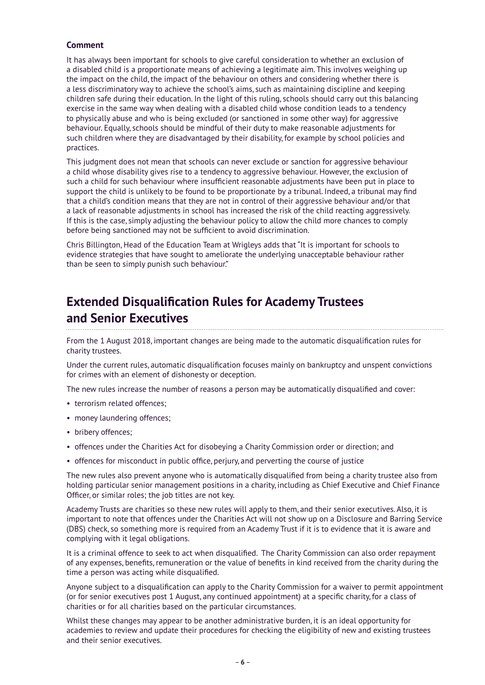#### **Comment**

It has always been important for schools to give careful consideration to whether an exclusion of a disabled child is a proportionate means of achieving a legitimate aim. This involves weighing up the impact on the child, the impact of the behaviour on others and considering whether there is a less discriminatory way to achieve the school's aims, such as maintaining discipline and keeping children safe during their education. In the light of this ruling, schools should carry out this balancing exercise in the same way when dealing with a disabled child whose condition leads to a tendency to physically abuse and who is being excluded (or sanctioned in some other way) for aggressive behaviour. Equally, schools should be mindful of their duty to make reasonable adjustments for such children where they are disadvantaged by their disability, for example by school policies and practices.

This judgment does not mean that schools can never exclude or sanction for aggressive behaviour a child whose disability gives rise to a tendency to aggressive behaviour. However, the exclusion of such a child for such behaviour where insufficient reasonable adjustments have been put in place to support the child is unlikely to be found to be proportionate by a tribunal. Indeed, a tribunal may find that a child's condition means that they are not in control of their aggressive behaviour and/or that a lack of reasonable adjustments in school has increased the risk of the child reacting aggressively. If this is the case, simply adjusting the behaviour policy to allow the child more chances to comply before being sanctioned may not be sufficient to avoid discrimination.

Chris Billington, Head of the Education Team at Wrigleys adds that "It is important for schools to evidence strategies that have sought to ameliorate the underlying unacceptable behaviour rather than be seen to simply punish such behaviour."

### **Extended Disqualification Rules for Academy Trustees and Senior Executives**

From the 1 August 2018, important changes are being made to the automatic disqualification rules for charity trustees.

Under the current rules, automatic disqualification focuses mainly on bankruptcy and unspent convictions for crimes with an element of dishonesty or deception.

The new rules increase the number of reasons a person may be automatically disqualified and cover:

- terrorism related offences;
- money laundering offences;
- bribery offences:
- offences under the Charities Act for disobeying a Charity Commission order or direction; and
- offences for misconduct in public office, perjury, and perverting the course of justice

The new rules also prevent anyone who is automatically disqualified from being a charity trustee also from holding particular senior management positions in a charity, including as Chief Executive and Chief Finance Officer, or similar roles; the job titles are not key.

Academy Trusts are charities so these new rules will apply to them, and their senior executives. Also, it is important to note that offences under the Charities Act will not show up on a Disclosure and Barring Service (DBS) check, so something more is required from an Academy Trust if it is to evidence that it is aware and complying with it legal obligations.

It is a criminal offence to seek to act when disqualified. The Charity Commission can also order repayment of any expenses, benefits, remuneration or the value of benefits in kind received from the charity during the time a person was acting while disqualified.

Anyone subject to a disqualification can apply to the Charity Commission for a waiver to permit appointment (or for senior executives post 1 August, any continued appointment) at a specific charity, for a class of charities or for all charities based on the particular circumstances.

Whilst these changes may appear to be another administrative burden, it is an ideal opportunity for academies to review and update their procedures for checking the eligibility of new and existing trustees and their senior executives.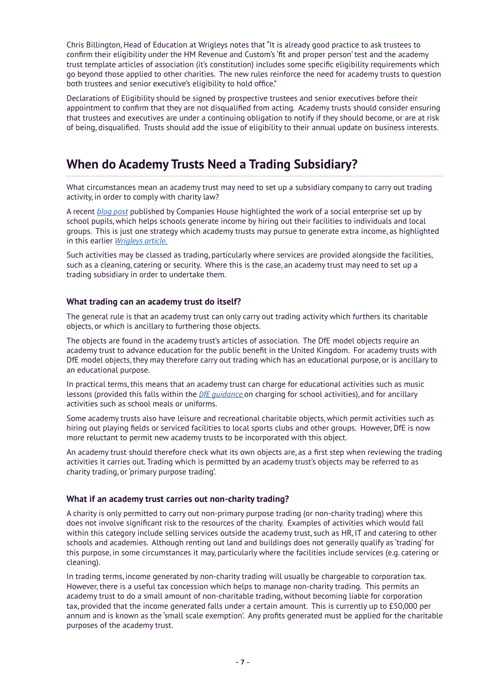Chris Billington, Head of Education at Wrigleys notes that "It is already good practice to ask trustees to confirm their eligibility under the HM Revenue and Custom's 'fit and proper person' test and the academy trust template articles of association (it's constitution) includes some specific eligibility requirements which go beyond those applied to other charities. The new rules reinforce the need for academy trusts to question both trustees and senior executive's eligibility to hold office."

Declarations of Eligibility should be signed by prospective trustees and senior executives before their appointment to confirm that they are not disqualified from acting. Academy trusts should consider ensuring that trustees and executives are under a continuing obligation to notify if they should become, or are at risk of being, disqualified. Trusts should add the issue of eligibility to their annual update on business interests.

### **When do Academy Trusts Need a Trading Subsidiary?**

What circumstances mean an academy trust may need to set up a subsidiary company to carry out trading activity, in order to comply with charity law?

A recent *[blog post](https://companieshouse.blog.gov.uk/2018/06/04/purposeful-companies-school-space/)* published by Companies House highlighted the work of a social enterprise set up by school pupils, which helps schools generate income by hiring out their facilities to individuals and local groups. This is just one strategy which academy trusts may pursue to generate extra income, as highlighted in this earlier *[Wrigleys article.](https://www.wrigleys.co.uk/news/education/show-me-the-money-income-generation-by-academy-trusts/)*

Such activities may be classed as trading, particularly where services are provided alongside the facilities, such as a cleaning, catering or security. Where this is the case, an academy trust may need to set up a trading subsidiary in order to undertake them.

#### **What trading can an academy trust do itself?**

The general rule is that an academy trust can only carry out trading activity which furthers its charitable objects, or which is ancillary to furthering those objects.

The objects are found in the academy trust's articles of association. The DfE model objects require an academy trust to advance education for the public benefit in the United Kingdom. For academy trusts with DfE model objects, they may therefore carry out trading which has an educational purpose, or is ancillary to an educational purpose.

In practical terms, this means that an academy trust can charge for educational activities such as music lessons (provided this falls within the *[DfE guidance](https://assets.publishing.service.gov.uk/government/uploads/system/uploads/attachment_data/file/706830/Charging_for_school_activities.pdf)* on charging for school activities), and for ancillary activities such as school meals or uniforms.

Some academy trusts also have leisure and recreational charitable objects, which permit activities such as hiring out playing fields or serviced facilities to local sports clubs and other groups. However, DfE is now more reluctant to permit new academy trusts to be incorporated with this object.

An academy trust should therefore check what its own objects are, as a first step when reviewing the trading activities it carries out. Trading which is permitted by an academy trust's objects may be referred to as charity trading, or 'primary purpose trading'.

#### **What if an academy trust carries out non-charity trading?**

A charity is only permitted to carry out non-primary purpose trading (or non-charity trading) where this does not involve significant risk to the resources of the charity. Examples of activities which would fall within this category include selling services outside the academy trust, such as HR, IT and catering to other schools and academies. Although renting out land and buildings does not generally qualify as 'trading' for this purpose, in some circumstances it may, particularly where the facilities include services (e.g. catering or cleaning).

In trading terms, income generated by non-charity trading will usually be chargeable to corporation tax. However, there is a useful tax concession which helps to manage non-charity trading. This permits an academy trust to do a small amount of non-charitable trading, without becoming liable for corporation tax, provided that the income generated falls under a certain amount. This is currently up to £50,000 per annum and is known as the 'small scale exemption'. Any profits generated must be applied for the charitable purposes of the academy trust.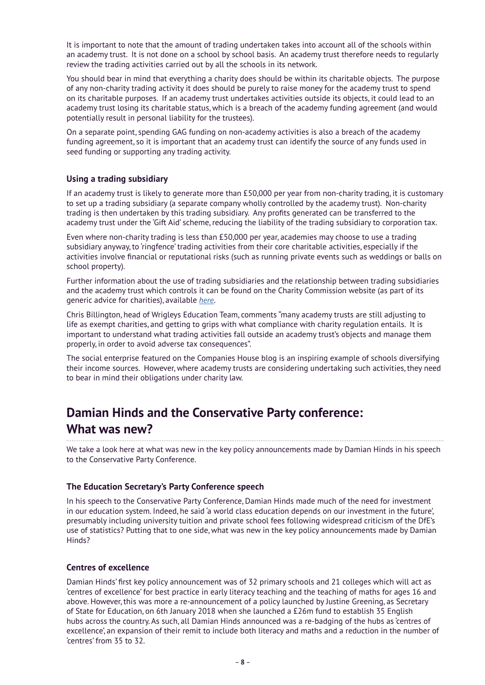It is important to note that the amount of trading undertaken takes into account all of the schools within an academy trust. It is not done on a school by school basis. An academy trust therefore needs to regularly review the trading activities carried out by all the schools in its network.

You should bear in mind that everything a charity does should be within its charitable objects. The purpose of any non-charity trading activity it does should be purely to raise money for the academy trust to spend on its charitable purposes. If an academy trust undertakes activities outside its objects, it could lead to an academy trust losing its charitable status, which is a breach of the academy funding agreement (and would potentially result in personal liability for the trustees).

On a separate point, spending GAG funding on non-academy activities is also a breach of the academy funding agreement, so it is important that an academy trust can identify the source of any funds used in seed funding or supporting any trading activity.

#### **Using a trading subsidiary**

If an academy trust is likely to generate more than £50,000 per year from non-charity trading, it is customary to set up a trading subsidiary (a separate company wholly controlled by the academy trust). Non-charity trading is then undertaken by this trading subsidiary. Any profits generated can be transferred to the academy trust under the 'Gift Aid' scheme, reducing the liability of the trading subsidiary to corporation tax.

Even where non-charity trading is less than £50,000 per year, academies may choose to use a trading subsidiary anyway, to 'ringfence' trading activities from their core charitable activities, especially if the activities involve financial or reputational risks (such as running private events such as weddings or balls on school property).

Further information about the use of trading subsidiaries and the relationship between trading subsidiaries and the academy trust which controls it can be found on the Charity Commission website (as part of its generic advice for charities), available *[here](https://www.gov.uk/government/publications/trustees-trading-and-tax-how-charities-may-lawfully-trade-cc35)*.

Chris Billington, head of Wrigleys Education Team, comments "many academy trusts are still adjusting to life as exempt charities, and getting to grips with what compliance with charity regulation entails. It is important to understand what trading activities fall outside an academy trust's objects and manage them properly, in order to avoid adverse tax consequences".

The social enterprise featured on the Companies House blog is an inspiring example of schools diversifying their income sources. However, where academy trusts are considering undertaking such activities, they need to bear in mind their obligations under charity law.

#### **Damian Hinds and the Conservative Party conference: What was new?**

We take a look here at what was new in the key policy announcements made by Damian Hinds in his speech to the Conservative Party Conference.

#### **The Education Secretary's Party Conference speech**

In his speech to the Conservative Party Conference, Damian Hinds made much of the need for investment in our education system. Indeed, he said 'a world class education depends on our investment in the future', presumably including university tuition and private school fees following widespread criticism of the DfE's use of statistics? Putting that to one side, what was new in the key policy announcements made by Damian Hinds?

#### **Centres of excellence**

Damian Hinds' first key policy announcement was of 32 primary schools and 21 colleges which will act as 'centres of excellence' for best practice in early literacy teaching and the teaching of maths for ages 16 and above. However, this was more a re-announcement of a policy launched by Justine Greening, as Secretary of State for Education, on 6th January 2018 when she launched a £26m fund to establish 35 English hubs across the country. As such, all Damian Hinds announced was a re-badging of the hubs as 'centres of excellence', an expansion of their remit to include both literacy and maths and a reduction in the number of 'centres' from 35 to 32.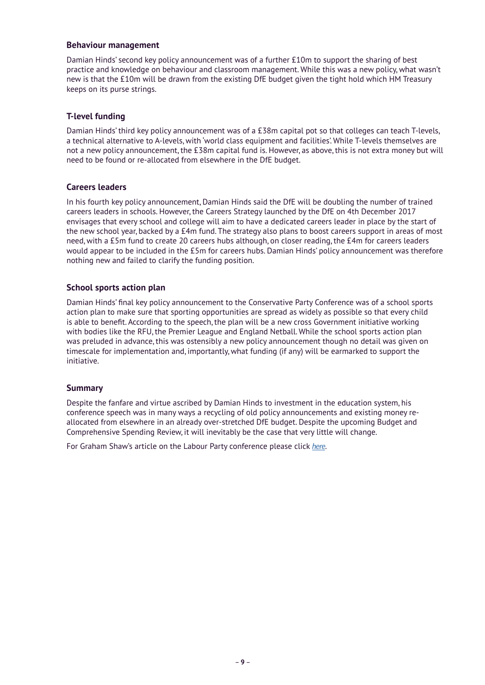#### **Behaviour management**

Damian Hinds' second key policy announcement was of a further £10m to support the sharing of best practice and knowledge on behaviour and classroom management. While this was a new policy, what wasn't new is that the £10m will be drawn from the existing DfE budget given the tight hold which HM Treasury keeps on its purse strings.

#### **T-level funding**

Damian Hinds' third key policy announcement was of a £38m capital pot so that colleges can teach T-levels, a technical alternative to A-levels, with 'world class equipment and facilities'. While T-levels themselves are not a new policy announcement, the £38m capital fund is. However, as above, this is not extra money but will need to be found or re-allocated from elsewhere in the DfE budget.

#### **Careers leaders**

In his fourth key policy announcement, Damian Hinds said the DfE will be doubling the number of trained careers leaders in schools. However, the Careers Strategy launched by the DfE on 4th December 2017 envisages that every school and college will aim to have a dedicated careers leader in place by the start of the new school year, backed by a £4m fund. The strategy also plans to boost careers support in areas of most need, with a £5m fund to create 20 careers hubs although, on closer reading, the £4m for careers leaders would appear to be included in the £5m for careers hubs. Damian Hinds' policy announcement was therefore nothing new and failed to clarify the funding position.

#### **School sports action plan**

Damian Hinds' final key policy announcement to the Conservative Party Conference was of a school sports action plan to make sure that sporting opportunities are spread as widely as possible so that every child is able to benefit. According to the speech, the plan will be a new cross Government initiative working with bodies like the RFU, the Premier League and England Netball. While the school sports action plan was preluded in advance, this was ostensibly a new policy announcement though no detail was given on timescale for implementation and, importantly, what funding (if any) will be earmarked to support the initiative.

#### **Summary**

Despite the fanfare and virtue ascribed by Damian Hinds to investment in the education system, his conference speech was in many ways a recycling of old policy announcements and existing money reallocated from elsewhere in an already over-stretched DfE budget. Despite the upcoming Budget and Comprehensive Spending Review, it will inevitably be the case that very little will change.

For Graham Shaw's article on the Labour Party conference please click *[here](https://www.wrigleys.co.uk/news/education/so-what-did-the-labour-party-conference-teach-us/)*.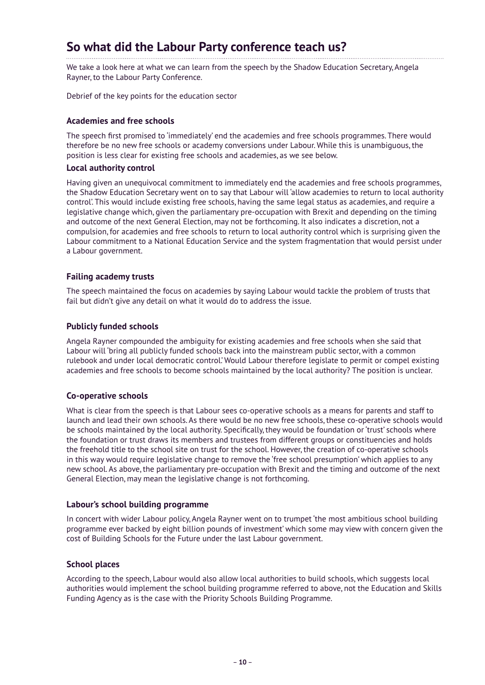# **So what did the Labour Party conference teach us?**

We take a look here at what we can learn from the speech by the Shadow Education Secretary, Angela Rayner, to the Labour Party Conference.

Debrief of the key points for the education sector

#### **Academies and free schools**

The speech first promised to 'immediately' end the academies and free schools programmes. There would therefore be no new free schools or academy conversions under Labour. While this is unambiguous, the position is less clear for existing free schools and academies, as we see below.

#### **Local authority control**

Having given an unequivocal commitment to immediately end the academies and free schools programmes, the Shadow Education Secretary went on to say that Labour will 'allow academies to return to local authority control'. This would include existing free schools, having the same legal status as academies, and require a legislative change which, given the parliamentary pre-occupation with Brexit and depending on the timing and outcome of the next General Election, may not be forthcoming. It also indicates a discretion, not a compulsion, for academies and free schools to return to local authority control which is surprising given the Labour commitment to a National Education Service and the system fragmentation that would persist under a Labour government.

#### **Failing academy trusts**

The speech maintained the focus on academies by saying Labour would tackle the problem of trusts that fail but didn't give any detail on what it would do to address the issue.

#### **Publicly funded schools**

Angela Rayner compounded the ambiguity for existing academies and free schools when she said that Labour will 'bring all publicly funded schools back into the mainstream public sector, with a common rulebook and under local democratic control.' Would Labour therefore legislate to permit or compel existing academies and free schools to become schools maintained by the local authority? The position is unclear.

#### **Co-operative schools**

What is clear from the speech is that Labour sees co-operative schools as a means for parents and staff to launch and lead their own schools. As there would be no new free schools, these co-operative schools would be schools maintained by the local authority. Specifically, they would be foundation or 'trust' schools where the foundation or trust draws its members and trustees from different groups or constituencies and holds the freehold title to the school site on trust for the school. However, the creation of co-operative schools in this way would require legislative change to remove the 'free school presumption' which applies to any new school. As above, the parliamentary pre-occupation with Brexit and the timing and outcome of the next General Election, may mean the legislative change is not forthcoming.

#### **Labour's school building programme**

In concert with wider Labour policy, Angela Rayner went on to trumpet 'the most ambitious school building programme ever backed by eight billion pounds of investment' which some may view with concern given the cost of Building Schools for the Future under the last Labour government.

#### **School places**

According to the speech, Labour would also allow local authorities to build schools, which suggests local authorities would implement the school building programme referred to above, not the Education and Skills Funding Agency as is the case with the Priority Schools Building Programme.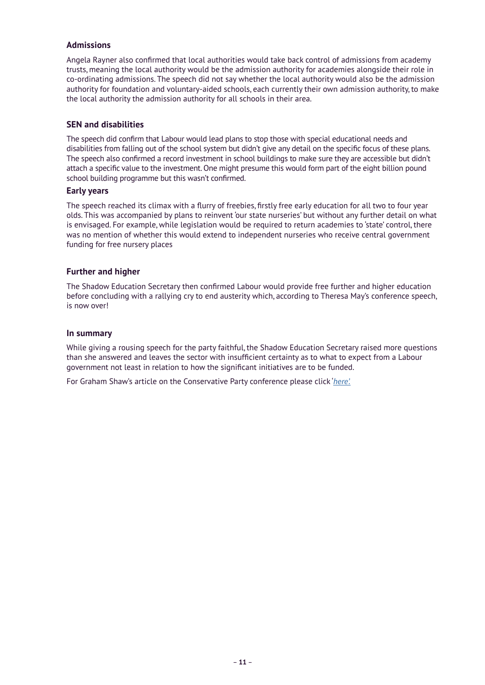#### **Admissions**

Angela Rayner also confirmed that local authorities would take back control of admissions from academy trusts, meaning the local authority would be the admission authority for academies alongside their role in co-ordinating admissions. The speech did not say whether the local authority would also be the admission authority for foundation and voluntary-aided schools, each currently their own admission authority, to make the local authority the admission authority for all schools in their area.

#### **SEN and disabilities**

The speech did confirm that Labour would lead plans to stop those with special educational needs and disabilities from falling out of the school system but didn't give any detail on the specific focus of these plans. The speech also confirmed a record investment in school buildings to make sure they are accessible but didn't attach a specific value to the investment. One might presume this would form part of the eight billion pound school building programme but this wasn't confirmed.

#### **Early years**

The speech reached its climax with a flurry of freebies, firstly free early education for all two to four year olds. This was accompanied by plans to reinvent 'our state nurseries' but without any further detail on what is envisaged. For example, while legislation would be required to return academies to 'state' control, there was no mention of whether this would extend to independent nurseries who receive central government funding for free nursery places

#### **Further and higher**

The Shadow Education Secretary then confirmed Labour would provide free further and higher education before concluding with a rallying cry to end austerity which, according to Theresa May's conference speech, is now over!

#### **In summary**

While giving a rousing speech for the party faithful, the Shadow Education Secretary raised more questions than she answered and leaves the sector with insufficient certainty as to what to expect from a Labour government not least in relation to how the significant initiatives are to be funded.

For Graham Shaw's article on the Conservative Party conference please click '*[here'.](https://www.wrigleys.co.uk/news/education/damian-hinds-and-the-conservative-party-conference-what-was-new/)*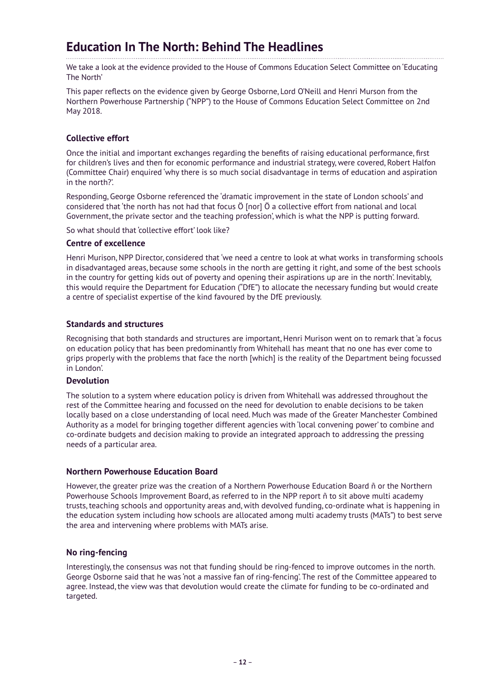### **Education In The North: Behind The Headlines**

We take a look at the evidence provided to the House of Commons Education Select Committee on 'Educating The North'

This paper reflects on the evidence given by George Osborne, Lord O'Neill and Henri Murson from the Northern Powerhouse Partnership ("NPP") to the House of Commons Education Select Committee on 2nd May 2018.

#### **Collective effort**

Once the initial and important exchanges regarding the benefits of raising educational performance, first for children's lives and then for economic performance and industrial strategy, were covered, Robert Halfon (Committee Chair) enquired 'why there is so much social disadvantage in terms of education and aspiration in the north?'.

Responding, George Osborne referenced the 'dramatic improvement in the state of London schools' and considered that 'the north has not had that focus Ö [nor] Ö a collective effort from national and local Government, the private sector and the teaching profession', which is what the NPP is putting forward.

So what should that 'collective effort' look like?

#### **Centre of excellence**

Henri Murison, NPP Director, considered that 'we need a centre to look at what works in transforming schools in disadvantaged areas, because some schools in the north are getting it right, and some of the best schools in the country for getting kids out of poverty and opening their aspirations up are in the north'. Inevitably, this would require the Department for Education ("DfE") to allocate the necessary funding but would create a centre of specialist expertise of the kind favoured by the DfE previously.

#### **Standards and structures**

Recognising that both standards and structures are important, Henri Murison went on to remark that 'a focus on education policy that has been predominantly from Whitehall has meant that no one has ever come to grips properly with the problems that face the north [which] is the reality of the Department being focussed in London'.

#### **Devolution**

The solution to a system where education policy is driven from Whitehall was addressed throughout the rest of the Committee hearing and focussed on the need for devolution to enable decisions to be taken locally based on a close understanding of local need. Much was made of the Greater Manchester Combined Authority as a model for bringing together different agencies with 'local convening power' to combine and co-ordinate budgets and decision making to provide an integrated approach to addressing the pressing needs of a particular area.

#### **Northern Powerhouse Education Board**

However, the greater prize was the creation of a Northern Powerhouse Education Board ñ or the Northern Powerhouse Schools Improvement Board, as referred to in the NPP report ñ to sit above multi academy trusts, teaching schools and opportunity areas and, with devolved funding, co-ordinate what is happening in the education system including how schools are allocated among multi academy trusts (MATs") to best serve the area and intervening where problems with MATs arise.

#### **No ring-fencing**

Interestingly, the consensus was not that funding should be ring-fenced to improve outcomes in the north. George Osborne said that he was 'not a massive fan of ring-fencing'. The rest of the Committee appeared to agree. Instead, the view was that devolution would create the climate for funding to be co-ordinated and targeted.